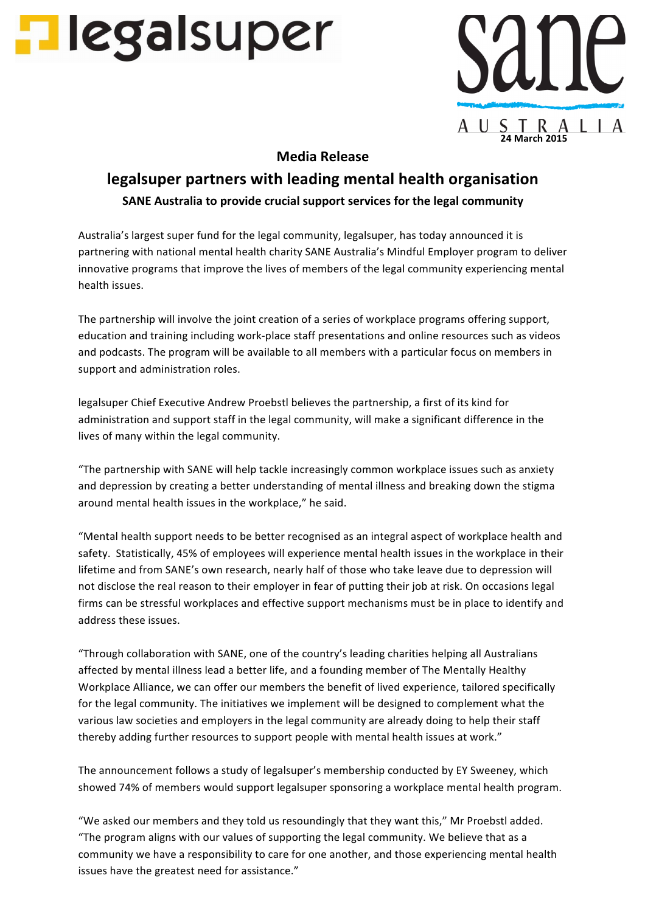



## **Media Release**

## **legalsuper partners with leading mental health organisation SANE** Australia to provide crucial support services for the legal community

Australia's largest super fund for the legal community, legalsuper, has today announced it is partnering with national mental health charity SANE Australia's Mindful Employer program to deliver innovative programs that improve the lives of members of the legal community experiencing mental health issues.

The partnership will involve the joint creation of a series of workplace programs offering support, education and training including work-place staff presentations and online resources such as videos and podcasts. The program will be available to all members with a particular focus on members in support and administration roles.

legalsuper Chief Executive Andrew Proebstl believes the partnership, a first of its kind for administration and support staff in the legal community, will make a significant difference in the lives of many within the legal community.

"The partnership with SANE will help tackle increasingly common workplace issues such as anxiety and depression by creating a better understanding of mental illness and breaking down the stigma around mental health issues in the workplace," he said.

"Mental health support needs to be better recognised as an integral aspect of workplace health and safety. Statistically, 45% of employees will experience mental health issues in the workplace in their lifetime and from SANE's own research, nearly half of those who take leave due to depression will not disclose the real reason to their employer in fear of putting their job at risk. On occasions legal firms can be stressful workplaces and effective support mechanisms must be in place to identify and address these issues.

"Through collaboration with SANE, one of the country's leading charities helping all Australians affected by mental illness lead a better life, and a founding member of The Mentally Healthy Workplace Alliance, we can offer our members the benefit of lived experience, tailored specifically for the legal community. The initiatives we implement will be designed to complement what the various law societies and employers in the legal community are already doing to help their staff thereby adding further resources to support people with mental health issues at work."

The announcement follows a study of legalsuper's membership conducted by EY Sweeney, which showed 74% of members would support legalsuper sponsoring a workplace mental health program.

"We asked our members and they told us resoundingly that they want this," Mr Proebstl added. "The program aligns with our values of supporting the legal community. We believe that as a community we have a responsibility to care for one another, and those experiencing mental health issues have the greatest need for assistance."